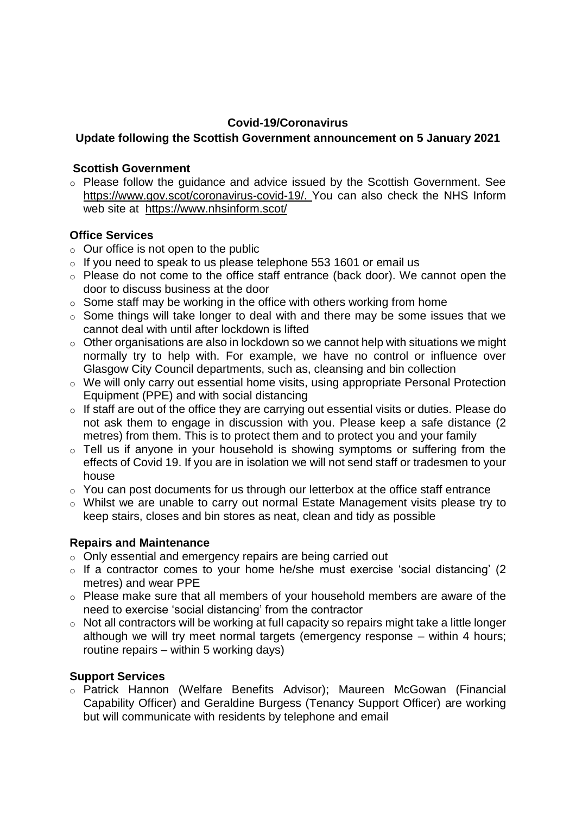#### **Covid-19/Coronavirus**

# **Update following the Scottish Government announcement on 5 January 2021**

#### **Scottish Government**

 $\circ$  Please follow the quidance and advice issued by the Scottish Government. See [https://www.gov.scot/coronavirus-covid-19/.](https://www.gov.scot/coronavirus-covid-19/) You can also check the NHS Inform web site at <https://www.nhsinform.scot/>

## **Office Services**

- $\circ$  Our office is not open to the public
- $\circ$  If you need to speak to us please telephone 553 1601 or email us
- o Please do not come to the office staff entrance (back door). We cannot open the door to discuss business at the door
- $\circ$  Some staff may be working in the office with others working from home
- o Some things will take longer to deal with and there may be some issues that we cannot deal with until after lockdown is lifted
- $\circ$  Other organisations are also in lockdown so we cannot help with situations we might normally try to help with. For example, we have no control or influence over Glasgow City Council departments, such as, cleansing and bin collection
- o We will only carry out essential home visits, using appropriate Personal Protection Equipment (PPE) and with social distancing
- o If staff are out of the office they are carrying out essential visits or duties. Please do not ask them to engage in discussion with you. Please keep a safe distance (2 metres) from them. This is to protect them and to protect you and your family
- o Tell us if anyone in your household is showing symptoms or suffering from the effects of Covid 19. If you are in isolation we will not send staff or tradesmen to your house
- $\circ$  You can post documents for us through our letterbox at the office staff entrance
- o Whilst we are unable to carry out normal Estate Management visits please try to keep stairs, closes and bin stores as neat, clean and tidy as possible

## **Repairs and Maintenance**

- o Only essential and emergency repairs are being carried out
- o If a contractor comes to your home he/she must exercise 'social distancing' (2 metres) and wear PPE
- o Please make sure that all members of your household members are aware of the need to exercise 'social distancing' from the contractor
- o Not all contractors will be working at full capacity so repairs might take a little longer although we will try meet normal targets (emergency response – within 4 hours; routine repairs – within 5 working days)

## **Support Services**

o Patrick Hannon (Welfare Benefits Advisor); Maureen McGowan (Financial Capability Officer) and Geraldine Burgess (Tenancy Support Officer) are working but will communicate with residents by telephone and email